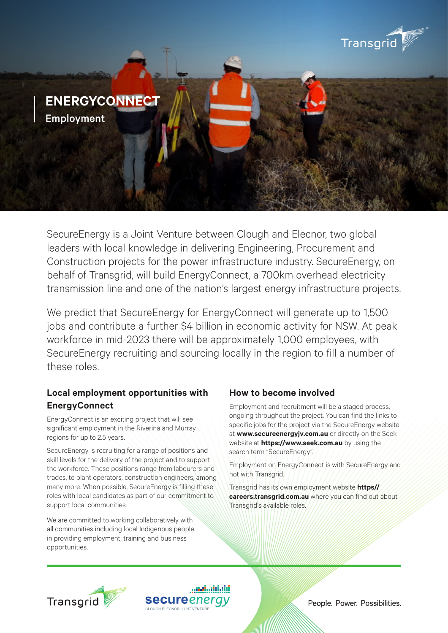

SecureEnergy is a Joint Venture between Clough and Elecnor, two global leaders with local knowledge in delivering Engineering, Procurement and Construction projects for the power infrastructure industry. SecureEnergy, on behalf of Transgrid, will build EnergyConnect, a 700km overhead electricity transmission line and one of the nation's largest energy infrastructure projects.

We predict that SecureEnergy for EnergyConnect will generate up to 1,500 jobs and contribute a further \$4 billion in economic activity for NSW. At peak workforce in mid-2023 there will be approximately 1,000 employees, with SecureEnergy recruiting and sourcing locally in the region to fill a number of these roles.

## **Local employment opportunities with EnergyConnect**

EnergyConnect is an exciting project that will see significant employment in the Riverina and Murray regions for up to 2.5 years.

SecureEnergy is recruiting for a range of positions and skill levels for the delivery of the project and to support the workforce. These positions range from labourers and trades, to plant operators, construction engineers, among many more. When possible, SecureEnergy is filling these roles with local candidates as part of our commitment to support local communities.

We are committed to working collaboratively with all communities including local Indigenous people in providing employment, training and business opportunities.

### **How to become involved**

Employment and recruitment will be a staged process, ongoing throughout the project. You can find the links to specific jobs for the project via the SecureEnergy website at **www.secureenergyjv.com.au** or directly on the Seek website at **https://www.seek.com.au** by using the search term "SecureEnergy".

Employment on EnergyConnect is with SecureEnergy and not with Transgrid.

Transgrid has its own employment website **https// careers.transgrid.com.au** where you can find out about Transgrid's available roles.



**secure**enerc CLOUGH ELECNOR JOINT VENTURE

People. Power. Possibilities.